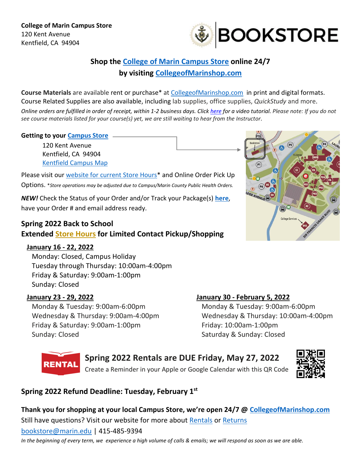

# **Shop the [College of Marin Campus Store](http://www1.marin.edu/campus-store) online 24/7 by visiting [CollegeofMarinshop.com](http://collegeofmarinshop.com/)**

**Course Materials** are available rent or purchase\* at [CollegeofMarinshop.com](https://www.bkstr.com/collegeofmarinstore) in print and digital formats. Course Related Supplies are also available, including lab supplies, office supplies, *QuickStudy* and more.

Online orders are fulfilled in order of receipt, within 1-2 business days. Click [here](https://youtu.be/WfXmNgfwN68) for a video tutorial. Please note: If you do not *see course materials listed for your course(s) yet, we are still waiting to hear from the Instructor*.

#### **Getting to your [Campus Store](https://g.page/college-of-marin-bookstore?gm)**

120 Kent Avenue Kentfield, CA 94904 [Kentfield Campus Map](http://campuses.marin.edu/campus-maps)

Please visit our [website for current Store Hours\\*](https://www.bkstr.com/collegeofmarinstore/store-hours) and Online Order Pick Up Options. \**Store operations may be adjusted due to Campus/Marin County Public Health Orders.*

*NEW!* Check the Status of your Order and/or Track your Package(s) **[here](https://www.bkstr.com/collegeofmarinstore/myaccount/trackorder)**, have your Order # and email address ready.

## **Spring 2022 Back to School Extended Store [Hours](https://www.bkstr.com/collegeofmarinstore/store-hours) for Limited Contact Pickup/Shopping**

### **January 16 - 22, 2022**

Monday: Closed, Campus Holiday Tuesday through Thursday: 10:00am-4:00pm Friday & Saturday: 9:00am-1:00pm Sunday: Closed

### **January 23 - 29, 2022**

Monday & Tuesday: 9:00am-6:00pm Wednesday & Thursday: 9:00am-4:00pm Friday & Saturday: 9:00am-1:00pm Sunday: Closed

### **January 30 - February 5, 2022**

Monday & Tuesday: 9:00am-6:00pm Wednesday & Thursday: 10:00am-4:00pm Friday: 10:00am-1:00pm Saturday & Sunday: Closed



# **Spring 2022 Rentals are DUE Friday, May 27, 2022**





# **Spring 2022 Refund Deadline: Tuesday, February 1st**

**Thank you for shopping at your local Campus Store, we're open 24/7 @ [CollegeofMarinshop.com](http://collegeofmarinshop.com/)** Still have questions? Visit our website for more about [Rentals](https://www.bkstr.com/collegeofmarinstore/help-faq/textbook-rental) or [Returns](https://www.bkstr.com/collegeofmarinstore/help-faq/return-policy)

[bookstore@marin.edu](mailto:bookstore@marin.edu?subject=Campus%20Store%20Question) | 415-485-9394

*In the beginning of every term, we experience a high volume of calls & emails; we will respond as soon as we are able.*

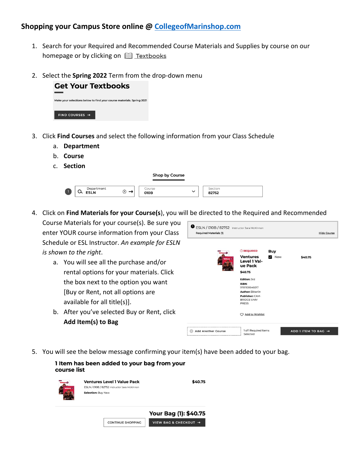### **Shopping your Campus Store online @ [CollegeofMarinshop.com](http://collegeofmarinshop.com/)**

- 1. Search for your Required and Recommended Course Materials and Supplies by course on our homepage or by clicking on **ED** Textbooks
- 2. Select the **Spring 2022** Term from the drop-down menu



- 3. Click **Find Courses** and select the following information from your Class Schedule
	- a. **Department**
	- b. **Course**
	- c. **Section**

1

| Shop by Course            |        |                |              |                  |  |
|---------------------------|--------|----------------|--------------|------------------|--|
| Department<br><b>ESLN</b> | ⊗<br>∸ | Course<br>010B | $\checkmark$ | Section<br>82752 |  |

4. Click on **Find Materials for your Course(s**), you will be directed to the Required and Recommended

Course Materials for your course(s). Be sure you enter YOUR course information from your Class Schedule or ESL Instructor. *An example for ESLN is shown to the right*.

- a. You will see all the purchase and/or rental options for your materials. Click the box next to the option you want [Buy or Rent, not all options are available for all title(s)].
- b. After you've selected Buy or Rent, click **Add Item(s) to Bag**



5. You will see the below message confirming your item(s) have been added to your bag.

| 1 Item has been added to your bag from your<br>course list |                                                                                                          |                       |  |  |  |  |  |  |
|------------------------------------------------------------|----------------------------------------------------------------------------------------------------------|-----------------------|--|--|--|--|--|--|
| <b>Ornatok</b>                                             | <b>Ventures Level 1 Value Pack</b><br>ESLN / 010B / 82752 Instructor Sara McKinnon<br>Selection: Buy New | \$40.75               |  |  |  |  |  |  |
|                                                            |                                                                                                          | Your Bag (1): \$40.75 |  |  |  |  |  |  |
|                                                            | <b>CONTINUE SHOPPING</b>                                                                                 | VIEW BAG & CHECKOUT → |  |  |  |  |  |  |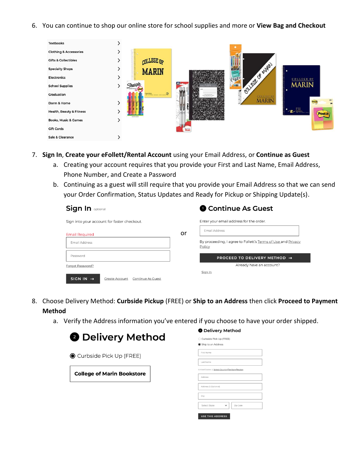6. You can continue to shop our online store for school supplies and more or **View Bag and Checkout**



- 7. **Sign In**, **Create your eFollett/Rental Account** using your Email Address, or **Continue as Guest**
	- a. Creating your account requires that you provide your First and Last Name, Email Address, Phone Number, and Create a Password
	- b. Continuing as a guest will still require that you provide your Email Address so that we can send your Order Confirmation, Status Updates and Ready for Pickup or Shipping Update(s).

| <b>Sign In optional</b>                                             |    | Continue As Guest                                                      |  |
|---------------------------------------------------------------------|----|------------------------------------------------------------------------|--|
| Sign into your account for faster checkout.                         |    | Enter your email address for the order.                                |  |
| <b>Email Required</b>                                               | or | Email Address                                                          |  |
| Email Address                                                       |    | By proceeding, I agree to Follett's Terms of Use and Privacy<br>Policy |  |
| Password                                                            |    | PROCEED TO DELIVERY METHOD $\rightarrow$                               |  |
| Forgot Password?                                                    |    | Already have an account?                                               |  |
| SIGN IN $\rightarrow$<br>Create Account<br><b>Continue As Guest</b> |    | Sign In                                                                |  |

- 8. Choose Delivery Method: **Curbside Pickup** (FREE) or **Ship to an Address** then click **Proceed to Payment Method**
	- a. Verify the Address information you've entered if you choose to have your order shipped.



#### **O** Delivery Method

| ◯ Curbside Pick Up (FREE)                       |  |  |  |  |  |  |
|-------------------------------------------------|--|--|--|--|--|--|
| Ship to an Address                              |  |  |  |  |  |  |
| First Name                                      |  |  |  |  |  |  |
| Last Name                                       |  |  |  |  |  |  |
| United States   Select Country/Territory/Region |  |  |  |  |  |  |
| Address                                         |  |  |  |  |  |  |
| Address 2 (Optional)                            |  |  |  |  |  |  |
| City                                            |  |  |  |  |  |  |
| Select State<br>Zip Code                        |  |  |  |  |  |  |
| <b>USE THIS ADDRESS</b>                         |  |  |  |  |  |  |